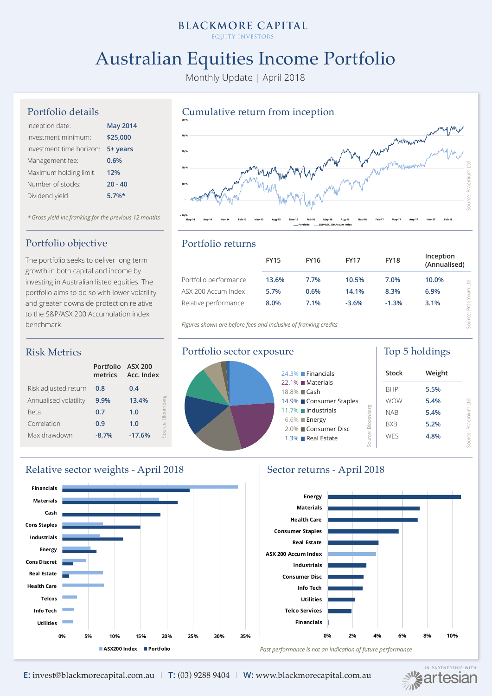## **BLACKMORE CAPITAL**

EQUITY INVESTORS

# Australian Equities Income Portfolio

Monthly Update | April 2018

#### Portfolio details

| Inception date:          | <b>May 2014</b> |
|--------------------------|-----------------|
| Investment minimum:      | \$25,000        |
| Investment time horizon: | 5+ years        |
| Management fee:          | 0.6%            |
| Maximum holding limit:   | 12%             |
| Number of stocks:        | $20 - 40$       |
| Dividend yield:          | $5.7%$ *        |

*\* Gross yield inc franking for the previous 12 months*

### Portfolio objective

The portfolio seeks to deliver long term growth in both capital and income by investing in Australian listed equities. The portfolio aims to do so with lower volatility and greater downside protection relative to the S&P/ASX 200 Accumulation index benchmark.

### Risk Metrics

|                       | Portfolio ASX 200<br>metrics | Acc. Index |               |
|-----------------------|------------------------------|------------|---------------|
| Risk adjusted return  | 0.8                          | 0.4        |               |
| Annualised volatility | 9.9%                         | 13.4%      |               |
| Beta                  | 0.7                          | 1.0        |               |
| Correlation           | 0.9                          | 1.0        |               |
| Max drawdown          | $-8.7%$                      | $-17.6%$   | <b>COLLEG</b> |



#### Portfolio returns

| Portfolio performance | <b>FY15</b><br><b>FY16</b> |      | <b>FY17</b> | <b>FY18</b> | Inception<br>(Annualised) |         |
|-----------------------|----------------------------|------|-------------|-------------|---------------------------|---------|
|                       | 13.6%                      | 7.7% | 10.5%       | 7.0%        | 10.0%                     | P       |
| ASX 200 Accum Index   | 5.7%                       | 0.6% | 14.1%       | 8.3%        | 6.9%                      |         |
| Relative performance  | 8.0%                       | 7.1% | $-3.6%$     | $-1.3%$     | 3.1%                      | raemium |

*Figures shown are before fees and inclusive of franking credits*





## Relative sector weights - April 2018 Sector returns - April 2018



**ALLE ARTNERSHIP WITH** 

Past performance is not an indication of future performance